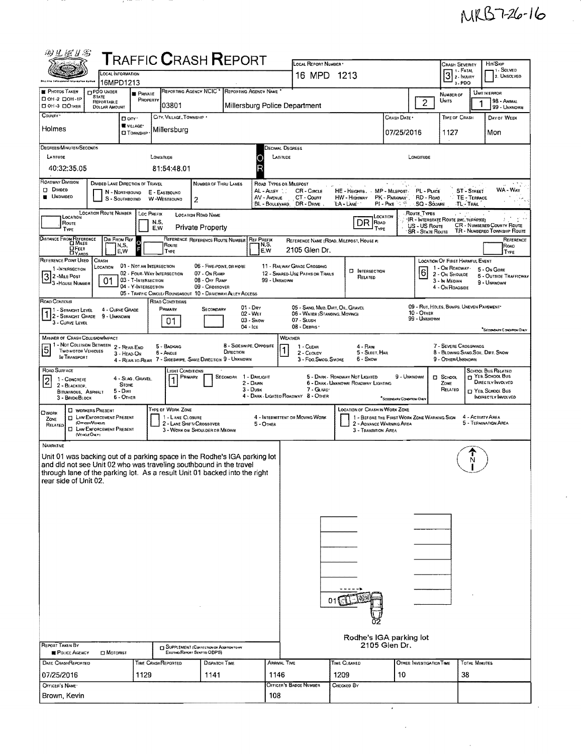## MRB7-26-16

 $\hat{\mathcal{A}}$ 

| 羽豆蛋甘露                                                                                                                                                                                                                                                                                                                                                                                                                                                                                                       |                                                                                                                        |                                                                          |                                                                    | <b>TRAFFIC CRASH REPORT</b>                                                                                                                                                                                                   |                                                                        | LOCAL REPORT NUMBER *                                                                                                                                                                                                   |                                                        |                                                         |                                        |                                                                      |                                  | HIT/SKIP                                                    |  |  |  |
|-------------------------------------------------------------------------------------------------------------------------------------------------------------------------------------------------------------------------------------------------------------------------------------------------------------------------------------------------------------------------------------------------------------------------------------------------------------------------------------------------------------|------------------------------------------------------------------------------------------------------------------------|--------------------------------------------------------------------------|--------------------------------------------------------------------|-------------------------------------------------------------------------------------------------------------------------------------------------------------------------------------------------------------------------------|------------------------------------------------------------------------|-------------------------------------------------------------------------------------------------------------------------------------------------------------------------------------------------------------------------|--------------------------------------------------------|---------------------------------------------------------|----------------------------------------|----------------------------------------------------------------------|----------------------------------|-------------------------------------------------------------|--|--|--|
|                                                                                                                                                                                                                                                                                                                                                                                                                                                                                                             | <b>LOCAL INFORMATION</b>                                                                                               |                                                                          |                                                                    |                                                                                                                                                                                                                               |                                                                        | 16 MPD 1213                                                                                                                                                                                                             |                                                        |                                                         |                                        | <b>CRASH SEVERITY</b><br><b>L. FATAL</b><br>$3:$ FATAL               |                                  | ı ۱ - Solved<br>2. UNSOLVED                                 |  |  |  |
| this tre Enforcement Islandston<br><b>PHOTOS TAKEN</b>                                                                                                                                                                                                                                                                                                                                                                                                                                                      | 16MPD1213<br><b>FIPDO UNDER</b>                                                                                        |                                                                          | REPORTING AGENCY NCIC <sup>+</sup>                                 |                                                                                                                                                                                                                               | REPORTING AGENCY NAME                                                  |                                                                                                                                                                                                                         |                                                        |                                                         | 3.PDO                                  |                                                                      |                                  |                                                             |  |  |  |
| □ 0H-2 □ 0H-1P<br><b>COM-3 DOTHER</b>                                                                                                                                                                                                                                                                                                                                                                                                                                                                       | <b>STATE</b><br>REPORTABLE                                                                                             | <b>PRIVATE</b><br>PROPERTY                                               | 03801                                                              |                                                                                                                                                                                                                               |                                                                        | Millersburg Police Department                                                                                                                                                                                           |                                                        |                                                         | $\overline{c}$                         | NUMBER OF<br>UNITS                                                   |                                  | Unit in Error<br>98 - ANIMAL                                |  |  |  |
| COUNTY .                                                                                                                                                                                                                                                                                                                                                                                                                                                                                                    | <b>DOLLAR AMOUNT</b><br>Dory.                                                                                          |                                                                          | CITY, VILLAGE, TOWNSHIP .                                          |                                                                                                                                                                                                                               |                                                                        |                                                                                                                                                                                                                         |                                                        | CRASH DATE *                                            |                                        | TIME OF CRASH                                                        |                                  | 99 - UNKNOWN<br>DAY OF WEEK                                 |  |  |  |
| Holmes                                                                                                                                                                                                                                                                                                                                                                                                                                                                                                      |                                                                                                                        | VILLAGE*<br><b>CI TOWNSHIP</b>                                           | Millersburg                                                        |                                                                                                                                                                                                                               |                                                                        |                                                                                                                                                                                                                         |                                                        | 07/25/2016                                              |                                        | 1127                                                                 |                                  | Mon                                                         |  |  |  |
| DEGREES/MINUTES/SECONDS<br>LATITUDE                                                                                                                                                                                                                                                                                                                                                                                                                                                                         |                                                                                                                        |                                                                          | LONGITUDE                                                          |                                                                                                                                                                                                                               | LATITUDE                                                               | Jecimal Degrees                                                                                                                                                                                                         |                                                        |                                                         | LONGITUDE                              |                                                                      |                                  |                                                             |  |  |  |
| 40:32:35.05                                                                                                                                                                                                                                                                                                                                                                                                                                                                                                 |                                                                                                                        |                                                                          | 81:54:48.01                                                        |                                                                                                                                                                                                                               |                                                                        |                                                                                                                                                                                                                         |                                                        |                                                         |                                        |                                                                      |                                  |                                                             |  |  |  |
| ROADWAY DIVISION<br><b>DI DIVIDED</b><br><b>UNDIVIDED</b>                                                                                                                                                                                                                                                                                                                                                                                                                                                   | DIVIDED LANE DIRECTION OF TRAVEL<br>N - Northbound<br>S - SOUTHBOUND                                                   |                                                                          | E - EASTBOUND<br>W-WESTBOUND<br>2                                  | <b>NUMBER OF THRU LANES</b>                                                                                                                                                                                                   | ROAD TYPES OR MILEPOST<br>AL - Alley<br>AV - AVENUE<br>BL - BOULEVARD, | CR - CIRCLE<br>CT - Count<br>DR - Dave                                                                                                                                                                                  | HE - HEIGHTS, MP - MILEPOST<br>HW - HIGHWAY<br>LA-LANE | PK - PARKWAY<br>$PI - P_{IKE}$ $\approx$ $\frac{32}{5}$ | PL - PLACE<br>RD - ROAD<br>SQ - Sóuare | TL-TRAIL                                                             | <b>ST-STREET</b><br>TE - TERRACE | WA - WAY                                                    |  |  |  |
| LOCATION ROUTE NUMBER   LOC PREFIX<br>Route Types<br>LOCATION ROAD NAME<br>Location<br>LOCATION<br>'IR - Interstate Route (INC, TURNPIKE)<br>DR ROAD<br>N.S.<br>Route<br>CR - NUMBERED COUNTY ROUTE<br>US - US ROUTE<br>Private Property<br>E.W<br>TYPE<br>TYPE<br>TR - NUMBERED TOWNSHIP ROUTE<br><b>SR - STATE ROUTE</b>                                                                                                                                                                                  |                                                                                                                        |                                                                          |                                                                    |                                                                                                                                                                                                                               |                                                                        |                                                                                                                                                                                                                         |                                                        |                                                         |                                        |                                                                      |                                  |                                                             |  |  |  |
| DISTANCE FROM REFERENCE<br><b>DFEET</b>                                                                                                                                                                                                                                                                                                                                                                                                                                                                     | Dir From Ref<br>N.S.<br>E, W                                                                                           | Ō                                                                        | Route<br>TYPE                                                      | REFERENCE REFERENCE ROUTE NUMBER                                                                                                                                                                                              | <b>REF PREFIX</b><br>N,S,<br>E,W                                       | 2105 Glen Dr.                                                                                                                                                                                                           | REFERENCE NAME (ROAD, MILEPOST, HOUSE #)               |                                                         |                                        |                                                                      |                                  | REFERENCE<br>Road<br>TYPE                                   |  |  |  |
| REFERENCE POINT USED                                                                                                                                                                                                                                                                                                                                                                                                                                                                                        | CRASH                                                                                                                  | 01 - NOT AN INTERSECTION                                                 |                                                                    | 06 - FIVE-POINT, OR MORE                                                                                                                                                                                                      |                                                                        | 11 - RAILWAY GRADE CROSSING                                                                                                                                                                                             |                                                        |                                                         |                                        | <b>LOCATION OF FIRST HARMFUL EVENT</b>                               |                                  |                                                             |  |  |  |
| 1-INTERSECTION<br>32-Mile Post<br><sup>1</sup> 3 - House Number                                                                                                                                                                                                                                                                                                                                                                                                                                             | LOCATION<br>01                                                                                                         | 02 - FOUR-WAY INTERSECTION<br>03 - T-INTERSECTION<br>04 - Y-INTERSECTION |                                                                    | 07 - On RAMP<br>08 - Off RAMP<br>09 - Crossover<br>05 - TRAFFIC CIRCLE/ ROUNDABOUT 10 - DRIVEWAY/ ALLEY ACCESS                                                                                                                | 99 - UNKNOWN                                                           | 12 - SHARED-USE PATHS OR TRAILS                                                                                                                                                                                         | <b>E INTERSECTION</b><br>RELATED                       |                                                         | 6                                      | 1 - On ROADWAY<br>2 - ON SHOULDE<br>3 - In Median<br>4 - On ROADSIDE |                                  | 5 - On Gone<br><b>6 - OUTSIDE TRAFFICWAY</b><br>9 - UNKNOWN |  |  |  |
| ROAD CONTOUR<br>1 - Straight Level<br>12 - STRAIGHT GRADE 9 - UNKNOWN                                                                                                                                                                                                                                                                                                                                                                                                                                       | 4 - CURVE GRADE                                                                                                        |                                                                          | ROAD CONDITIONS<br>PRIMARY<br>01                                   | SECONDARY                                                                                                                                                                                                                     | $01 - \text{Day}$<br>$02 - WET$<br>$03 -$ Snow                         | 05 - SAND, MUD, DIRT, OIL, GRAVEL<br>06 - WATER (STANDING, MOVING)<br>07 - SLUSH                                                                                                                                        |                                                        |                                                         | 10 - Отнев<br>99 - UNKNOWN             | 09 - RUT, HOLES, BUMPS, UNEVEN PAVEMENT                              |                                  |                                                             |  |  |  |
|                                                                                                                                                                                                                                                                                                                                                                                                                                                                                                             | 3 - CURVE LEVEL<br>$04 -$ ICE<br>08 - DEBRIS<br>SECONDARY CONDITION ONLY                                               |                                                                          |                                                                    |                                                                                                                                                                                                                               |                                                                        |                                                                                                                                                                                                                         |                                                        |                                                         |                                        |                                                                      |                                  |                                                             |  |  |  |
| <b>MANNER OF CRASH COLLISION/IMPACT</b><br>WEATHER<br>1 - Not Collision Between 2 - Rear-End<br><b>8 - SIDESWIPE, OPPOSITE</b><br>7 - SEVERE CROSSWINDS<br>5 - BACKING<br>$4 - R$ AIN<br>1 - CLEAR<br>$\overline{5}$<br><b>TWO MOTOR VEHICLES</b><br>DIRECTION<br>5 - Sleet, Hail<br>8 - BLOWING SAND SOIL, DIRT, SNOW<br>6 - Angle<br>$2 - C_1$ oupy<br>3 - HEAD ON<br>IN TRANSPORT<br>4 - REAR-TO-REAR 7 - SIDESWIPE, -SAME DIRECTION 9 - UNKNOWN<br>6 - Snow<br>9 - OTHER/UNKNOWN<br>3 - Fog Smog, Smoke |                                                                                                                        |                                                                          |                                                                    |                                                                                                                                                                                                                               |                                                                        |                                                                                                                                                                                                                         |                                                        |                                                         |                                        |                                                                      |                                  |                                                             |  |  |  |
| ROAD SURFACE<br><b>SCHOOL BUS RELATED</b><br>Light Conditions<br>П YES. SCHOOL BUS<br>SECONDAR 1 - DAYLIGHT<br>5 - DARK - ROADWAY NOT LIGHTED<br>9 - UNKNOWN<br><b>D</b> SCHOOL<br>PRIMARY<br>4 - SLAG, GRAVEL.<br>1 - CONCRETE<br>2                                                                                                                                                                                                                                                                        |                                                                                                                        |                                                                          |                                                                    |                                                                                                                                                                                                                               |                                                                        |                                                                                                                                                                                                                         |                                                        |                                                         |                                        |                                                                      | DIRECTLY INVOLVED                |                                                             |  |  |  |
| 2 - BLACKTOP<br>BITUMINOUS, ASPHALT<br>3 - BRICK/BLOCK                                                                                                                                                                                                                                                                                                                                                                                                                                                      | <b>STONE</b><br>5 - Dirt<br>6 - OTHER                                                                                  |                                                                          |                                                                    |                                                                                                                                                                                                                               | 2 - DAWN<br>3 - Dusk                                                   | 7 - GLARE'<br>4 - DARK - LIGHTEO ROADWAY 8 - OTHER                                                                                                                                                                      | 6 - DARK - UNKNOWN ROADWAY LIGHTING                    | "Seppricinty Covernow Ones                              |                                        | ZONE<br>RELATED                                                      |                                  | T YES, SCHOOL BUS<br>INDIRECTLY INVOLVED                    |  |  |  |
| OWORK<br>ZONE<br>RELATED<br>(VEHICLE ONLY)                                                                                                                                                                                                                                                                                                                                                                                                                                                                  | <b>U</b> WORKERS PRESENT<br><b>EL LAW ENFORCEMENT PRESENT</b><br>(OFFICER/VENCLE)<br><b>LE LAW ENFORCEMENT PRESENT</b> |                                                                          | TYPE OF WORK ZONE<br>1 - LANE CLOSURE<br>2 - LANE SHIFT/ CROSSOVER | 3 - WORK ON SHOULDER OR MEDIAN                                                                                                                                                                                                | 5 - OTHER                                                              | <b>LOCATION OF CRASH IN WORK ZONE</b><br>4 - INTERMITTENT OR MOVING WORK<br>1 - BEFORE THE FIRST WORK ZONE WARNING SIGN<br>4 - ACTIVITY AREA<br>5 - TERMINATION AREA<br>2 - ADVANCE WARNING AREA<br>3 - TRANSITION AREA |                                                        |                                                         |                                        |                                                                      |                                  |                                                             |  |  |  |
| <b>NARRATIVE</b><br>rear side of Unit 02.<br><b>REPORT TAKEN BY</b>                                                                                                                                                                                                                                                                                                                                                                                                                                         |                                                                                                                        |                                                                          |                                                                    | Unit 01 was backing out of a parking space in the Rodhe's IGA parking lot<br>and did not see Unit 02 who was traveling southbound in the travel<br>through lane of the parking lot. As a result Unit 01 backed into the right |                                                                        |                                                                                                                                                                                                                         | Rodhe's IGA parking lot                                | 2105 Glen Dr.                                           |                                        |                                                                      | N                                |                                                             |  |  |  |
| POLICE AGENCY                                                                                                                                                                                                                                                                                                                                                                                                                                                                                               | $\square$ Motorist                                                                                                     |                                                                          | Existing Resort Sent to ODPS)                                      | <b>ET SUPPLEMENT (CORRECTION OR ADDITIONTO AN</b>                                                                                                                                                                             |                                                                        |                                                                                                                                                                                                                         |                                                        |                                                         |                                        |                                                                      |                                  |                                                             |  |  |  |
| DATE CRASHREPORTED                                                                                                                                                                                                                                                                                                                                                                                                                                                                                          |                                                                                                                        | <b>TIME CRASHREPORTED</b>                                                |                                                                    | <b>DISPATCH TIME</b>                                                                                                                                                                                                          | <b>ARRIVAL TIME</b>                                                    |                                                                                                                                                                                                                         | TIME CLEARED                                           |                                                         | OTHER INVESTIGATION TIME               |                                                                      | <b>TOTAL MINUTES</b>             |                                                             |  |  |  |
| 07/25/2016<br>OFFICER'S NAME                                                                                                                                                                                                                                                                                                                                                                                                                                                                                |                                                                                                                        | 1129                                                                     |                                                                    | 1141                                                                                                                                                                                                                          | 1146                                                                   | OFFICER'S BADGE NUMBER                                                                                                                                                                                                  | 1209<br>CHECKED BY                                     | 10                                                      |                                        | 38                                                                   |                                  |                                                             |  |  |  |
| Brown, Kevin                                                                                                                                                                                                                                                                                                                                                                                                                                                                                                |                                                                                                                        |                                                                          |                                                                    |                                                                                                                                                                                                                               | 108                                                                    |                                                                                                                                                                                                                         |                                                        |                                                         |                                        |                                                                      |                                  |                                                             |  |  |  |
|                                                                                                                                                                                                                                                                                                                                                                                                                                                                                                             |                                                                                                                        |                                                                          |                                                                    |                                                                                                                                                                                                                               |                                                                        |                                                                                                                                                                                                                         |                                                        |                                                         |                                        |                                                                      |                                  |                                                             |  |  |  |

-177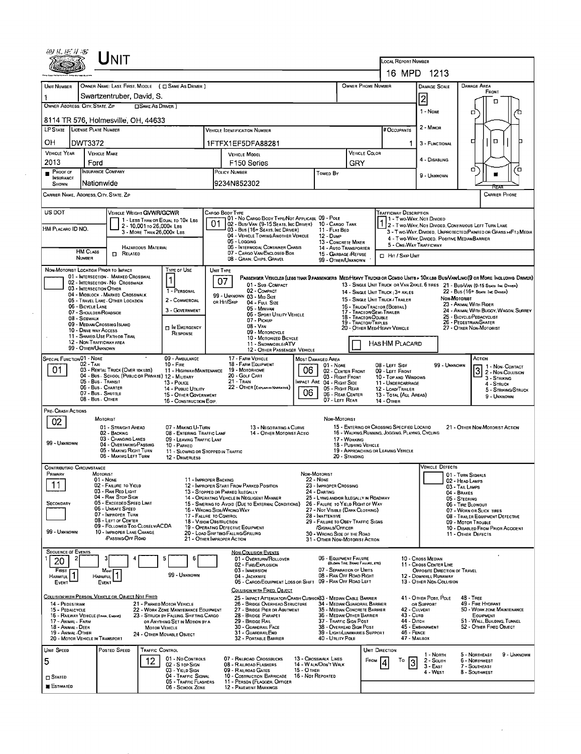|                                                                                                          | INIT                                                                               |                                                                                |                                                     |                                                                                                                              |                                                |                                                                             |                                                           |                                                                                                                              |                                                                                                                  |                                                                               |                                                        |             |  |  |  |
|----------------------------------------------------------------------------------------------------------|------------------------------------------------------------------------------------|--------------------------------------------------------------------------------|-----------------------------------------------------|------------------------------------------------------------------------------------------------------------------------------|------------------------------------------------|-----------------------------------------------------------------------------|-----------------------------------------------------------|------------------------------------------------------------------------------------------------------------------------------|------------------------------------------------------------------------------------------------------------------|-------------------------------------------------------------------------------|--------------------------------------------------------|-------------|--|--|--|
|                                                                                                          |                                                                                    |                                                                                |                                                     |                                                                                                                              |                                                |                                                                             |                                                           | LOCAL REPORT NUMBER                                                                                                          | 16 MPD 1213                                                                                                      |                                                                               |                                                        |             |  |  |  |
| UNIT NUMBER                                                                                              | OWNER NAME: LAST, FIRST, MIDDLE ( C SAME AS DRIVER )                               |                                                                                |                                                     |                                                                                                                              |                                                |                                                                             | OWNER PHONE NUMBER                                        |                                                                                                                              | <b>DAMAGE SCALE</b>                                                                                              | DAMAGE AREA                                                                   |                                                        |             |  |  |  |
| 1                                                                                                        | Swartzentruber, David, S.                                                          |                                                                                |                                                     |                                                                                                                              |                                                |                                                                             |                                                           |                                                                                                                              |                                                                                                                  |                                                                               | FRONT                                                  |             |  |  |  |
| OWNER ADDRESS: CITY, STATE, ZIP                                                                          | <b>CISAME AS DRIVER</b>                                                            |                                                                                |                                                     |                                                                                                                              |                                                |                                                                             |                                                           |                                                                                                                              | $\overline{2}$                                                                                                   |                                                                               | n                                                      |             |  |  |  |
| 8114 TR 576, Holmesville, OH, 44633                                                                      |                                                                                    |                                                                                |                                                     |                                                                                                                              |                                                |                                                                             |                                                           |                                                                                                                              | 1 - None                                                                                                         | о                                                                             |                                                        |             |  |  |  |
| LP STATE LICENSE PLATE NUMBER                                                                            |                                                                                    |                                                                                |                                                     | <b>VEHICLE IDENTIFICATION NUMBER</b>                                                                                         |                                                |                                                                             |                                                           | <b>BOCCUPANTS</b>                                                                                                            | 2 - MINOR                                                                                                        |                                                                               |                                                        |             |  |  |  |
| он<br>DWT3372                                                                                            |                                                                                    |                                                                                |                                                     | 1FTFX1EF5DFA88281                                                                                                            |                                                |                                                                             |                                                           |                                                                                                                              | 3 - FUNCTIONAL                                                                                                   | ₫                                                                             | $\Box$                                                 |             |  |  |  |
| <b>VEHICLE YEAR</b><br><b>VEHICLE MAKE</b>                                                               |                                                                                    |                                                                                |                                                     | <b>VEHICLE MODEL</b>                                                                                                         |                                                |                                                                             | VEHICLE COLOR                                             |                                                                                                                              |                                                                                                                  |                                                                               |                                                        |             |  |  |  |
| 2013<br>Ford                                                                                             |                                                                                    |                                                                                | F150 Series                                         |                                                                                                                              |                                                |                                                                             | GRY                                                       |                                                                                                                              | 4 - DISABLING                                                                                                    | σ                                                                             |                                                        | ά           |  |  |  |
| <b>INSURANCE COMPANY</b><br>PROOF OF<br>$\blacksquare$<br><b>INSURANCE</b><br>Nationwide<br><b>SHOWN</b> |                                                                                    | POLICY NUMBER<br>Towed By<br>9234N852302                                       |                                                     |                                                                                                                              |                                                |                                                                             |                                                           | 9 - UNKNOWN                                                                                                                  |                                                                                                                  |                                                                               |                                                        |             |  |  |  |
| CARRIER NAME, ADDRESS CITY, STATE, ZIP                                                                   |                                                                                    |                                                                                |                                                     |                                                                                                                              |                                                |                                                                             |                                                           |                                                                                                                              |                                                                                                                  |                                                                               | <b>CARRIER PHONE</b>                                   |             |  |  |  |
| US DOT                                                                                                   | VEHICLE WEIGHT GVWR/GCWR                                                           |                                                                                | CARGO BODY TYPE                                     | 01 - No CARGO BODY TYPE/NOT APPLICABL 09 - POLE                                                                              |                                                |                                                                             |                                                           | <b>TRAFFICWAY DESCRIPTION</b>                                                                                                |                                                                                                                  |                                                                               |                                                        |             |  |  |  |
| HM PLACARO ID NO.                                                                                        | 1 - LESS THAN OR EQUAL TO 10K LBS<br>2 - 10,001 to 26,000k LBS                     |                                                                                | 01                                                  | 02 - Bus/Van (9-15 Seats, Inc Driver)<br>03 - Bus (16+ Seats, Inc DRIVER)                                                    |                                                | 10 - Cargo Tank<br>11 - FLAT BED                                            |                                                           |                                                                                                                              | 1 - Two-Way, Not Divided<br>2 - Two Way, Not Divided, Continuous Left Turn Lane                                  |                                                                               |                                                        |             |  |  |  |
|                                                                                                          | 3 - MORE THAN 26,000K LBS.                                                         |                                                                                |                                                     | 04 - VEHICLE TOWING ANOTHER VEHICLE<br>$05 - 1$ ogging                                                                       |                                                | <b>12 - Dump</b><br>13 - CONCRETE MIXER                                     |                                                           |                                                                                                                              | 3 - Two-WAY, DIVIDED, UNPROTECTED (PAINTED OR GRASS >4FT.) MEDIA<br>4 - Two-WAY, DIVIDED. POSITIVE MEDIANBARRIER |                                                                               |                                                        |             |  |  |  |
| <b>HM CLASS</b>                                                                                          | <b>HAZARDOUS MATERIAL</b><br><b>D</b> RELATED                                      |                                                                                |                                                     | 06 - INTERMODAL CONTAINER CHASIS<br>07 - CARGO VAN/ENCLOSED BOX                                                              | 14 - Auto Transporter<br>15 - GARBAGE / REFUSE |                                                                             |                                                           | 5 - ONE-WAY TRAFFICWAY                                                                                                       |                                                                                                                  |                                                                               |                                                        |             |  |  |  |
| <b>NUMBER</b>                                                                                            |                                                                                    |                                                                                |                                                     | 08 - GRAIN, CHIPS, GRAVEL                                                                                                    | 99 - OTHER/UNKNOWN                             |                                                                             | HIT / SKIP UNIT                                           |                                                                                                                              |                                                                                                                  |                                                                               |                                                        |             |  |  |  |
| NON-MOTORIST LOCATION PRIOR TO IMPACT                                                                    | 01 - INTERSECTION - MARKED CROSSWAL                                                | TYPE OF USE<br>$\mathbf{1}$                                                    | UNIT TYPE                                           | PASSENGER VEHICLES (LESS THAN 9 PASSENGERS MED/HEAVY TRUCKS OR COMBO UNITS > 10KLBS BUS/VAN/LIMO(9 OR MORE INCLUDING DRIVER) |                                                |                                                                             |                                                           |                                                                                                                              |                                                                                                                  |                                                                               |                                                        |             |  |  |  |
| 03 - INTERSECTION OTHER                                                                                  | 02 - INTERSECTION - No CROSSWALK                                                   | 1 - PERSONAL                                                                   | 07                                                  | 01 - Sub-COMPACT<br>02 - COMPACT                                                                                             |                                                |                                                                             |                                                           | 14 - SINGLE UNIT TRUCK: 3+ AXLES                                                                                             | 13 - SINGLE UNIT TRUCK OR VAN ZAXLE, 6 TIRES 21 - BUS/VAN (9-15 SEATS INC DANER)                                 |                                                                               | 22 - BUS (16+ SEATS, INC DRIVER)                       |             |  |  |  |
|                                                                                                          | 04 - MIDBLOCK - MARKED CROSSWALK<br>05 - TRAVEL LANE - OTHER LOCATION              | 2 - COMMERCIAL                                                                 | OR HIT/SKIP                                         | 99 - UNKNOWN 03 - MID SIZE<br>04 - FULL SIZE                                                                                 |                                                |                                                                             |                                                           | 15 - SINGLE UNIT TRUCK / TRAILER                                                                                             |                                                                                                                  | Non-Motorist                                                                  |                                                        |             |  |  |  |
| 06 - BICYCLE LANE<br>07 - SHOULDER/ROADSIDE                                                              |                                                                                    | 3 - GOVERNMENT                                                                 |                                                     | 05 - Minivan<br>06 - Sport UTILITY VEHICLE                                                                                   |                                                |                                                                             |                                                           | 23 - ANIMAL WITH RIDER<br>16 - TRUCK/TRACTOR (BOBTAIL)<br>24 - ANIMAL WITH BUGGY, WAGON, SURREY<br>17 - TRACTOR/SEMI-TRAILER |                                                                                                                  |                                                                               |                                                        |             |  |  |  |
| 08 - SIDEWALK<br>09 - MEDIAN/CROSSING ISLAND                                                             |                                                                                    | IN EMERGENCY                                                                   |                                                     | 07 - Pickup<br>$08 - VAN$                                                                                                    |                                                |                                                                             | 18 - TRACTOR/DOUBLE<br>19 - TRACTOR/TRIPLES               | 20 - OTHER MED/HEAVY VEHICLE                                                                                                 |                                                                                                                  | 25 - BICYCLE/PEDACYCLIST<br>26 - PEDESTRIAN/SKATER<br>27 - OTHER NON-MOTORIST |                                                        |             |  |  |  |
| 10 - DRIVE WAY ACCESS<br>11 - Shared Use Path or Trail                                                   |                                                                                    | RESPONSE                                                                       |                                                     | 09 - MOTORCYCLE<br>10 - MOTORIZED BICYCLE                                                                                    |                                                |                                                                             |                                                           |                                                                                                                              |                                                                                                                  |                                                                               |                                                        |             |  |  |  |
| 12 - NON-TRAFFICWAY AREA<br>99 - OTHER/UNKNOWN                                                           |                                                                                    |                                                                                |                                                     | 11 - SNOWMOBILE/ATV<br>12 - OTHER PASSENGER VEHICLE                                                                          |                                                |                                                                             |                                                           | HAS HM PLACARD                                                                                                               |                                                                                                                  |                                                                               |                                                        |             |  |  |  |
| <b>SPECIAL FUNCTION 01 - NONE</b><br>02 - TAXI                                                           |                                                                                    | 09 - AMBULANCE<br>$10 -$ Fire                                                  |                                                     | 17 - FARM VEHICLE<br>18 - FARM EQUIPMENT                                                                                     |                                                | MOST DAMAGED AREA                                                           |                                                           |                                                                                                                              |                                                                                                                  | ACTION                                                                        |                                                        |             |  |  |  |
| 01                                                                                                       | 03 - RENTAL TRUCK (OVER 10K LBS)                                                   | 11 - Highway/Maintenance                                                       |                                                     | 19 - Мотопноме<br>20 - Golf Cart                                                                                             | 06                                             | 01 - None<br>02 - CENTER FRONT                                              |                                                           | 08 - LEFT SIDF<br>09 - LEFT FRONT                                                                                            | 99 - UNKNOWN                                                                                                     |                                                                               | 1 - Non-Contact<br>2 - Non-Collision                   |             |  |  |  |
| 05 - Bus - Transit<br>06 - Bus - Charter                                                                 | 04 - Bus - School (Public or Private) 12 - Military                                | 13 - Pouce                                                                     |                                                     | 21 - TRAIN<br>22 - OTHER (EXPLAIN IN NARRA TIVE)                                                                             |                                                | 03 - RIGHT FRONT<br>MPACT ARE 04 - RIGHT SIDE                               |                                                           | 10 - TOP AND WINDOWS<br>11 - UNDERCARRIAGE                                                                                   |                                                                                                                  |                                                                               | 3 - STRIKING<br>4 - STRUCK                             |             |  |  |  |
| 07 - Bus - SHUTTLE<br>08 - Bus - OTHER                                                                   |                                                                                    | 14 - PUBLIC UTILITY<br>15 - OTHER GOVERNMENT                                   |                                                     |                                                                                                                              | 06                                             | 05 - Right Rear<br>06 - REAR CENTER<br>07 - LEFT REAR                       |                                                           | 12 - LOAD/TRAILER<br>13 - TOTAL (ALL AREAS)                                                                                  |                                                                                                                  |                                                                               | 5 - STRIKING/STRUCK<br>9 - UNKNOWN                     |             |  |  |  |
| PRE- CRASH ACTIONS                                                                                       |                                                                                    | 16 - CONSTRUCTION EQIP.                                                        |                                                     |                                                                                                                              |                                                |                                                                             |                                                           | 14 - OTHER                                                                                                                   |                                                                                                                  |                                                                               |                                                        |             |  |  |  |
| 02                                                                                                       | MOTORIST                                                                           |                                                                                |                                                     |                                                                                                                              |                                                | NON-MOTORIST                                                                |                                                           |                                                                                                                              |                                                                                                                  |                                                                               |                                                        |             |  |  |  |
|                                                                                                          | 01 - STRAIGHT AHEAD<br>02 - BACKING                                                | 07 - MAKING U-TURN<br>08 - ENTERING TRAFFIC LANF                               |                                                     | 13 - NEGOTIATING A CURVE<br>14 - OTHER MOTORIST ACTIO                                                                        |                                                |                                                                             |                                                           | 15 - ENTERING OR CROSSING SPECIFIED LOCATIO<br>16 - WALKING, RUNNING, JOGGING, PLAYING, CYCLING                              |                                                                                                                  |                                                                               | 21 - OTHER NON-MOTORIST ACTION                         |             |  |  |  |
| 99 - Unknown                                                                                             | 03 - CHANGING LANES<br>04 - OVERTAKING/PASSING                                     | 09 - LEAVING TRAFFIC LANF<br>10 - PARKED                                       | 17 - WORKING<br>18 - Pushing Vehicle                |                                                                                                                              |                                                |                                                                             |                                                           |                                                                                                                              |                                                                                                                  |                                                                               |                                                        |             |  |  |  |
|                                                                                                          | 05 - MAKING RIGHT TURN<br>06 - MAKING LEFT TURN                                    | 11 - SLOWING OR STOPPED IN TRAFFIC<br>12 - DRIVERLESS                          |                                                     |                                                                                                                              |                                                |                                                                             | 20 - STANDING                                             | 19 - APPROACHING OR LEAVING VEHICLE                                                                                          |                                                                                                                  |                                                                               |                                                        |             |  |  |  |
| CONTRIBUTINO CIRCUMSTANCE                                                                                |                                                                                    |                                                                                |                                                     |                                                                                                                              |                                                |                                                                             |                                                           |                                                                                                                              | <b>VEHICLE DEFECTS</b>                                                                                           |                                                                               |                                                        |             |  |  |  |
| <b>FRIMARY</b><br>MOTORIST                                                                               | 01 - None                                                                          |                                                                                | 11 - IMPROPER BACKING                               |                                                                                                                              |                                                | NON-MOTORIST<br><b>22 - NONE</b>                                            |                                                           |                                                                                                                              |                                                                                                                  | 01 - Turn Signals<br>02 - HEAD LAMPS                                          |                                                        |             |  |  |  |
| 11                                                                                                       | 02 - FAILURE TO YIELD<br>03 - RAN RED LIGHT                                        |                                                                                | 13 - Stopped or Parked Illegally                    | 12 - IMPROPER START FROM PARKED POSITION                                                                                     |                                                | 23 - IMPROPER CROSSING<br>24 - DARTING                                      |                                                           |                                                                                                                              |                                                                                                                  | 03 - TAIL LAMPS<br>04 - BRAKES                                                |                                                        |             |  |  |  |
| SECONDARY                                                                                                | 04 - RAN STOP SIGN<br>05 - Exceeped Speed Limit<br>06 - UNSAFE SPEED               |                                                                                |                                                     | 14 - OPERATING VEHICLE IN NEGLIGENT MANNER<br>15 - Swering to Avoid (Due to External Conditions)                             |                                                | 25 - LYING AND/OR ILLEGALLY IN ROADWAY<br>26 - FALURE TO YIELD RIGHT OF WAY |                                                           |                                                                                                                              |                                                                                                                  | 05 - STEERING<br>06 - TIRE BLOWOUT                                            |                                                        |             |  |  |  |
|                                                                                                          | 07 - Improper Turn                                                                 |                                                                                | 16 - Wrong Side/Wrong Way<br>17 - FALURE TO CONTROL |                                                                                                                              |                                                | 27 - NOT VISIBLE (DARK CLOTHING)<br>28 - Inattentive                        |                                                           |                                                                                                                              |                                                                                                                  | 07 - WORN OR SLICK TIRES                                                      | 08 - TRAILER EQUIPMENT DEFECTIVE                       |             |  |  |  |
| 99 - UNKNOWN                                                                                             | 08 - LEFT OF CENTER<br>09 - FOLLOWED TOO CLOSELY/ACDA<br>10 - IMPROPER LANE CHANGE |                                                                                | 18 - VISION OBSTRUCTION                             | 19 - OPERATING DEFECTIVE EQUIPMENT                                                                                           |                                                | 29 - FAILURE TO OBEY TRAFFIC SIGNS<br>/SIGNALS/OFFICER                      |                                                           |                                                                                                                              |                                                                                                                  | 09 - MOTOR TROUBLE                                                            | 10 - DISABLED FROM PRIOR ACCIDENT                      |             |  |  |  |
|                                                                                                          | <b>PASSING/OFF ROAD</b>                                                            |                                                                                | 21 - OTHER IMPROPER ACTION                          | 20 - LOAD SHIFTING/FALLING/SPILLING                                                                                          |                                                | 30 - WRONG SIDE OF THE ROAD<br>31 - OTHER NON-MOTORIST ACTION               |                                                           |                                                                                                                              |                                                                                                                  | 11 - OTHER DEFECTS                                                            |                                                        |             |  |  |  |
| <b>SEQUENCE OF EVENTS</b>                                                                                |                                                                                    |                                                                                |                                                     | <b>NON-COLLISION EVENTS</b>                                                                                                  |                                                |                                                                             |                                                           |                                                                                                                              |                                                                                                                  |                                                                               |                                                        |             |  |  |  |
| 20                                                                                                       |                                                                                    | 6                                                                              |                                                     | 01 - OVERTURN/ROLLOVER<br>02 - FIRE/EXPLOSION                                                                                |                                                | 06 - EQUIPMENT FAILURE                                                      | (BLOWN TIRE, BRAKE FAILURE, ETC)                          |                                                                                                                              | 10 - Cross Median<br>11 - CROSS CENTER LINE                                                                      |                                                                               |                                                        |             |  |  |  |
| <b>FIRST</b><br>HARMFUL <sup>1</sup><br>HARMFUL                                                          | Most                                                                               | 99 - UNKNOWN                                                                   |                                                     | 03 - IMMERSION<br>04 - JACKKNIFE                                                                                             |                                                | 07 - SEPARATION OF UNITS<br>08 - RAN OFF ROAD RIGHT                         |                                                           |                                                                                                                              | OPPOSITE DIRECTION OF TRAVEL<br>12 - DOWNHILL RUNAWAY                                                            |                                                                               |                                                        |             |  |  |  |
| EVENT<br>EVENT                                                                                           |                                                                                    |                                                                                |                                                     | 05 - CARGO/EOUIPMENT LOSS OR SHIFT 09 - RAN OFF ROAD LEFT<br>COLLISION WITH FIXED, OBJECT                                    |                                                |                                                                             |                                                           |                                                                                                                              | 13 - OTHER NON-COLLISION                                                                                         |                                                                               |                                                        |             |  |  |  |
| COLLISION WITH PERSON, VEHICLE OR, OBJECT NOT FIXED<br>14 - PEDESTRIAN                                   | 21 - PARKED MOTOR VEHICLE                                                          |                                                                                |                                                     | 25 - IMPACT ATTENUATOR/CRASH CUSHION33 - MEDIAN CABLE BARRIER<br>26 - BRIDGE OVERHEAD STRUCTURE                              |                                                |                                                                             | 34 - MEDIAN GUARDRAIL BARRIER                             |                                                                                                                              | 41 - OTHER POST, POLE<br>OR SUPPORT                                                                              | <b>48 - TREE</b>                                                              | 49 - FIRE HYDRANT                                      |             |  |  |  |
| 15 - PEDALCYCLE<br>16 - RAILWAY VEHICLE (TRAIN, ENGINE)                                                  |                                                                                    | 22 - WORK ZONE MAINTENANCE EQUIPMENT<br>23 - STRUCK BY FALLING, SHIFTING CARGO |                                                     | 27 - BRIDGE PIER OR ABUTMENT<br>28 - BRIDGE PARAPET                                                                          |                                                |                                                                             | 35 - MEDIAN CONCRETE BARRIER<br>36 - MEDIAN OTHER BARRIER | 43 - CURB                                                                                                                    | 42 - CULVERT                                                                                                     |                                                                               | 50 - WORK ZONE MAINTENANCE<br>EQUIPMENT                |             |  |  |  |
| 17 - Animal - Farm<br>18 - ANIMAL - DEER                                                                 | <b>MOTOR VEHICLE</b>                                                               | OR ANYTHING SET IN MOTION BY A                                                 |                                                     | 29 - BRIDGE RAIL<br>30 - GUARDRAIL FACE                                                                                      |                                                | 37 - TRAFFIC SIGN POST<br>38 - OVERHEAD SIGN POST                           |                                                           |                                                                                                                              | 44 - Оітсн<br>45 - Емванкмент                                                                                    |                                                                               | 51 - WALL, BUILDING, TUNNEL<br>52 - OTHER FIXED OBJECT |             |  |  |  |
| 19 - ANMAL OTHER<br>20 - MOTOR VEHICLE IN TRANSPORT                                                      |                                                                                    | 24 - OTHER MOVABLE OBJECT                                                      |                                                     | 31 - GUARDRAILEND<br>32 - PORTABLE BARRIER                                                                                   |                                                | 40 - UTILITY POLE                                                           | 39 - LIGHT/LUMINARIES SUPPORT                             |                                                                                                                              | 46 - FENCE<br>47 - MAILBOX                                                                                       |                                                                               |                                                        |             |  |  |  |
| UNIT SPEED                                                                                               | POSTED SPEED<br><b>TRAFFIC CONTROL</b>                                             |                                                                                |                                                     |                                                                                                                              |                                                |                                                                             |                                                           | <b>UNIT DIRECTION</b>                                                                                                        |                                                                                                                  |                                                                               |                                                        |             |  |  |  |
| 5                                                                                                        | 12                                                                                 | 01 - No CONTROLS<br>02 - S TOP SIGN                                            |                                                     | 07 - RAILROAD CROSSBUCKS<br>08 - RAILROAD FLASHERS                                                                           |                                                | 13 - Crosswalk LINES<br>14 - WALK/DON'T WALK                                | FROM                                                      | То<br>3                                                                                                                      | 1 - North<br>2 - South                                                                                           | 5 - NORTHEAST<br>6 - NORTHWEST                                                |                                                        | 9 - Unknown |  |  |  |
| <b>STATED</b>                                                                                            |                                                                                    | 03 - YIELD SIGN<br>04 - TRAFFIC SIGNAL                                         |                                                     | 09 - RAILROAD GATES<br>10 - COSTRUCTION BARRICADE 16 - NOT REPORTED                                                          | 15 - О тиєн                                    |                                                                             |                                                           |                                                                                                                              | $3 - East$<br>4 - WEST                                                                                           | 7 - SOUTHEAST<br>8 - Southwest                                                |                                                        |             |  |  |  |
| <b>E</b> STIMATED                                                                                        |                                                                                    | 05 - TRAFFIC FLASHERS<br>06 - School Zone                                      |                                                     | 11 - PERSON (FLAGGER, OFFICER<br>12 - PAVEMENT MARKINGS                                                                      |                                                |                                                                             |                                                           |                                                                                                                              |                                                                                                                  |                                                                               |                                                        |             |  |  |  |
|                                                                                                          |                                                                                    |                                                                                |                                                     |                                                                                                                              |                                                |                                                                             |                                                           |                                                                                                                              |                                                                                                                  |                                                                               |                                                        |             |  |  |  |

 $\mathcal{L}^{\text{max}}_{\text{max}}$  and  $\mathcal{L}^{\text{max}}_{\text{max}}$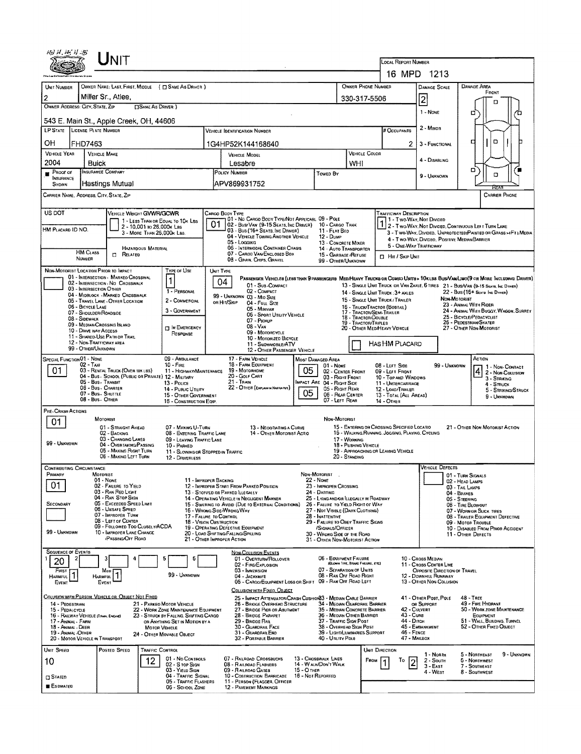| 10) 11, 14, 11 35                                                                                                                                                     |                                         | Unit                                                                                   |                            |                                                                                                  |                                                                                                         |                                                                                                  |             |                                                                             |                                                                                                 |                        |                                         |                        |                                                                 |                                                    |                                                                                                                                                                                                                    |  |
|-----------------------------------------------------------------------------------------------------------------------------------------------------------------------|-----------------------------------------|----------------------------------------------------------------------------------------|----------------------------|--------------------------------------------------------------------------------------------------|---------------------------------------------------------------------------------------------------------|--------------------------------------------------------------------------------------------------|-------------|-----------------------------------------------------------------------------|-------------------------------------------------------------------------------------------------|------------------------|-----------------------------------------|------------------------|-----------------------------------------------------------------|----------------------------------------------------|--------------------------------------------------------------------------------------------------------------------------------------------------------------------------------------------------------------------|--|
| <b>LOCAL REPORT NUMBER</b><br>16 MPD 1213                                                                                                                             |                                         |                                                                                        |                            |                                                                                                  |                                                                                                         |                                                                                                  |             |                                                                             |                                                                                                 |                        |                                         |                        |                                                                 |                                                    |                                                                                                                                                                                                                    |  |
|                                                                                                                                                                       |                                         |                                                                                        |                            |                                                                                                  |                                                                                                         | OWNER PHONE NUMBER                                                                               |             |                                                                             |                                                                                                 |                        |                                         |                        |                                                                 |                                                    | DAMAGE AREA                                                                                                                                                                                                        |  |
| UNIT NUMBER                                                                                                                                                           |                                         | Miller Sr., Atlee,                                                                     |                            | OWNER NAME: LAST, FIRST, MIDDLE ( ESAME AS DRIVER )                                              |                                                                                                         |                                                                                                  |             |                                                                             |                                                                                                 |                        |                                         |                        | <b>DAMAGE SCALE</b>                                             |                                                    | FRONT                                                                                                                                                                                                              |  |
| 2<br>OWNER ADDRESS: CITY, STATE, ZIP                                                                                                                                  |                                         |                                                                                        | <b>CISAME AS DRIVER</b> )  |                                                                                                  |                                                                                                         |                                                                                                  |             |                                                                             | 330-317-5506                                                                                    |                        |                                         |                        | 2                                                               |                                                    | m                                                                                                                                                                                                                  |  |
| 1 - NONE<br>п<br>543 E. Main St., Apple Creek, OH, 44606                                                                                                              |                                         |                                                                                        |                            |                                                                                                  |                                                                                                         |                                                                                                  |             |                                                                             |                                                                                                 |                        |                                         |                        |                                                                 |                                                    |                                                                                                                                                                                                                    |  |
| LP STATE LICENSE PLATE NUMBER                                                                                                                                         |                                         |                                                                                        |                            |                                                                                                  |                                                                                                         | <b>VEHICLE IDENTIFICATION NUMBER</b>                                                             |             |                                                                             |                                                                                                 |                        | # OCCUPANTS                             |                        | 2 - MINOR                                                       |                                                    |                                                                                                                                                                                                                    |  |
| OН                                                                                                                                                                    | <b>FHD7463</b>                          |                                                                                        |                            |                                                                                                  |                                                                                                         | 1G4HP52K144168640                                                                                |             |                                                                             |                                                                                                 |                        |                                         | 2                      | 3 - FUNCTIONAL                                                  |                                                    | O<br>о                                                                                                                                                                                                             |  |
| <b>VEHICLE YEAR</b><br>2004                                                                                                                                           | Buick                                   | <b>VEHICLE MAKE</b>                                                                    |                            |                                                                                                  | <b>VEHICLE MODEL</b>                                                                                    |                                                                                                  |             |                                                                             |                                                                                                 | <b>VEHICLE COLOR</b>   |                                         |                        | 4 - DISABLING                                                   |                                                    |                                                                                                                                                                                                                    |  |
| PRoof of                                                                                                                                                              |                                         | <b>INSURANCE COMPANY</b>                                                               |                            |                                                                                                  |                                                                                                         | Lesabre<br>POLICY NUMBER                                                                         |             | Toweo By                                                                    | WHI                                                                                             |                        |                                         |                        | 9 - UNKNOWN                                                     |                                                    | o<br>O                                                                                                                                                                                                             |  |
| <b>INSURANCE</b><br>SHOWN                                                                                                                                             |                                         | Hastings Mutual                                                                        |                            |                                                                                                  |                                                                                                         | APV869931752                                                                                     |             |                                                                             |                                                                                                 |                        |                                         |                        |                                                                 |                                                    |                                                                                                                                                                                                                    |  |
| CARRIER NAME, ADDRESS, CITY, STATE, ZIP                                                                                                                               |                                         |                                                                                        |                            |                                                                                                  |                                                                                                         |                                                                                                  |             |                                                                             |                                                                                                 |                        |                                         |                        |                                                                 |                                                    | <b>CARRIER PHONE</b>                                                                                                                                                                                               |  |
| US DOT<br>VEHICLE WEIGHT GWWR/GCWR<br>CARGO BODY TYPE<br><b>TRAFFICWAY DESCRIPTION</b><br>01 - No CARGO BODY TYPE/NOT APPLICABL 09 - POLE<br>1 - Two Way, Not Divideo |                                         |                                                                                        |                            |                                                                                                  |                                                                                                         |                                                                                                  |             |                                                                             |                                                                                                 |                        |                                         |                        |                                                                 |                                                    |                                                                                                                                                                                                                    |  |
| HM PLACARD ID NO.                                                                                                                                                     |                                         |                                                                                        | 2 - 10,001 to 26,000x Las  | 1 - LESS THAN OR EQUAL TO 10K LBS                                                                | 01                                                                                                      | 02 - Busi Van (9-15 Seats, Inc Driver)                                                           |             | 10 - CARGO TANK                                                             |                                                                                                 |                        |                                         |                        |                                                                 |                                                    | 2 - Two-Way, Not Divided, Continuous Left Turn Lane                                                                                                                                                                |  |
|                                                                                                                                                                       |                                         |                                                                                        | 3 - MORE THAN 26.000k LBS. |                                                                                                  |                                                                                                         | 03 - Bus (16+ SEATS, INC DRIVER)<br>04 - VEHICLE TOWING ANOTHER VEHICLE                          |             | 11 - FLAT BED<br>12 - Dump                                                  |                                                                                                 |                        |                                         |                        |                                                                 |                                                    | 3 - T WO-WAY, DIVIDED, UNPROTECTED PAINTED OR GRASS >4FT1 MEDIA<br>4 - Two-Way, Divideo, Positive Median Barrier                                                                                                   |  |
|                                                                                                                                                                       | <b>HM CLASS</b>                         |                                                                                        | <b>HAZARDOUS MATERIAL</b>  |                                                                                                  |                                                                                                         | 05 - Logging<br>06 - INTERMODAL CONTAINER CHASIS                                                 |             | 13 - CONCRETE MIXER<br>14 - AUTO TRANSPORTER                                |                                                                                                 |                        |                                         | 5 - ONF-WAY TRAFFICWAY |                                                                 |                                                    |                                                                                                                                                                                                                    |  |
|                                                                                                                                                                       | NUMBER                                  | $\Box$<br>RELATED                                                                      |                            |                                                                                                  | 07 - CARGO VAN/ENCLOSED BOX<br>15 - GARBAGE / REFUSE<br>08 - GRAIN, CHIPS, GRAVEL<br>99 - OTHER/UNKNOWN |                                                                                                  |             |                                                                             |                                                                                                 |                        | <b>D</b> Hit / SKIP UNIT                |                        |                                                                 |                                                    |                                                                                                                                                                                                                    |  |
| NON-MOTORIST LOCATION PRIOR TO IMPACT                                                                                                                                 |                                         | 01 - INTERSECTION - MARKEO CROSSWAL                                                    |                            | <b>TYPE OF USE</b>                                                                               | UNIT TYPE                                                                                               |                                                                                                  |             |                                                                             |                                                                                                 |                        |                                         |                        |                                                                 |                                                    |                                                                                                                                                                                                                    |  |
|                                                                                                                                                                       | 03 - INTERSECTION OTHER                 | 02 - INTERSECTION - NO CROSSWALK                                                       |                            | 1                                                                                                | 04                                                                                                      | 01 - Sub-COMPACT                                                                                 |             |                                                                             |                                                                                                 |                        |                                         |                        |                                                                 |                                                    | PASSENGER VENICLES (LESS THAN 9 PASSENGERS MED/HEAVY TRUCKS OR COMSO UNITS > 10KLBS BUS/VAMLIMO(9 OR MORE INCLUDING DRIVER)<br>13 - SINGLE UNIT TRUCK OR VAN ZAXLE, 6 TIRES 21 - BUSAVAN (9-15 SEATS, INC. DIRNER) |  |
|                                                                                                                                                                       |                                         | 04 - MIDBLOCK - MARKED CROSSWALK<br>05 - TRAVEL LANE - OTHER LOCATION                  |                            | 1 - PERSONAL<br>2 - COMMERCIAL                                                                   |                                                                                                         | 02 - COMPACT<br>99 - UNKNOWN 03 - MID SIZE                                                       |             |                                                                             | 14 - SINGLE UNIT TRUCK: 3+ AXLES<br>15 - SINGLE UNIT TRUCK / TRAILER                            |                        |                                         |                        |                                                                 | NON-MOTORIST                                       | 22 - Bus (15+ Seats fac Dance)                                                                                                                                                                                     |  |
|                                                                                                                                                                       | 06 - BICYCLE LANE                       |                                                                                        |                            | 3 - GOVERNMENT                                                                                   |                                                                                                         | OR HIT/SKIP<br>04 - FULL SIZE<br>05 - MINIVAN                                                    |             |                                                                             | 16 - Truck/Tractor (Bobtail)<br>17 - TRACTOR/SEMI-TRAILER                                       |                        |                                         |                        | 23 - ANIMAL WITH RIDER<br>24 - ANIMAL WITH BUGGY, WAGON, SURREY |                                                    |                                                                                                                                                                                                                    |  |
|                                                                                                                                                                       | 07 - SHOULDER/ROADSIDE<br>08 - Sidewalk |                                                                                        |                            |                                                                                                  |                                                                                                         | 06 - Sport Utility Vehicle<br>07 - Pickup                                                        |             |                                                                             | 18 - TRACTOR/DOUBLE                                                                             |                        |                                         |                        |                                                                 | 25 - BICYCLE/PEDACYCLIST<br>26 - PEDESTRIAN/SKATER |                                                                                                                                                                                                                    |  |
|                                                                                                                                                                       | 10 - DRIVE WAY ACCESS                   | 09 - MEDIANACROSSING ISLAND                                                            |                            | IN EMERGENCY<br>RESPONSE                                                                         | 19 - TRACTOR/TRIPLES<br>08 - VAN<br>20 - OTHER MEDIHEAVY VEHICLE<br>09 - MOTORCYCLE                     |                                                                                                  |             |                                                                             |                                                                                                 |                        |                                         |                        |                                                                 | 27 - OTHER NON-MOTORIST                            |                                                                                                                                                                                                                    |  |
|                                                                                                                                                                       | 12 - NON-TRAFFICWAY AREA                | 11 - SHARED-USE PATH OR TRAIL                                                          |                            |                                                                                                  |                                                                                                         | 10 - Motorized Bicycle<br>11 - SNOWMOBILE/ATV                                                    |             |                                                                             |                                                                                                 |                        |                                         |                        |                                                                 |                                                    |                                                                                                                                                                                                                    |  |
| <b>HAS HM PLACARD</b><br>99 - OTHER/UNKNOWN<br>12 - OTHER PASSENGER VEHICLE                                                                                           |                                         |                                                                                        |                            |                                                                                                  |                                                                                                         |                                                                                                  |             |                                                                             |                                                                                                 |                        |                                         |                        |                                                                 |                                                    |                                                                                                                                                                                                                    |  |
| <b>SPECIAL FUNCTION 01 - NONE</b><br>09 - AMBULANCE<br>$02 - T_A \times 1$<br>$10 -$ Fine                                                                             |                                         |                                                                                        |                            |                                                                                                  | 17 - FARM VEHICLE<br>MOST DAMAGED AREA<br><b>18 - FARM EQUIPMENT</b><br>01 - Nowe                       |                                                                                                  |             |                                                                             |                                                                                                 |                        | 08 - LEFT SIDE                          |                        |                                                                 | 99 - UNKNOWN                                       | ACTION<br>1 - Non-Contact                                                                                                                                                                                          |  |
| 01                                                                                                                                                                    |                                         | 03 - RENTAL TRUCK (OVER 10KLBS)<br>04 - Bus - SCHOOL (PUBLIC OR PRIVATE) 12 - MILITARY |                            | 11 - HIGHWAY/MAINTENANCE                                                                         | 05<br>19 - Мотовноме<br>02 - CENTER FRONT<br>20 - GOLF CART<br>03 - RIGHT FRONT                         |                                                                                                  |             |                                                                             |                                                                                                 |                        | 09 - LEFT FRONT<br>10 - TOP AND WINDOWS |                        |                                                                 |                                                    | 4 2 - Non-Collision<br>3 - Striking                                                                                                                                                                                |  |
|                                                                                                                                                                       | 05 - Bus. Transit<br>06 - Bus - Charter |                                                                                        | 13 - Pouce                 | $21 -$ Train<br>IMPACT ARE 04 - RIGHT SIDE<br>22 - OTHER (EXPLANIN NARRATIVE)<br>05 - RIGHT REAR |                                                                                                         |                                                                                                  |             |                                                                             | 11 - UNDERCARRIAGE<br>12 - LOAD/TRAILER                                                         |                        |                                         |                        | $4 -$ Struck<br>5 - STRIKING/STRUCK                             |                                                    |                                                                                                                                                                                                                    |  |
| 14 - Pueuc Unurv<br>07 - Bus - SHUTTLE<br>15 - OTHER GOVERNMENT<br>08 - Bus. OTHER<br>16 - CONSTRUCTION EQIP.                                                         |                                         |                                                                                        |                            |                                                                                                  |                                                                                                         |                                                                                                  | 05          | 06 - REAR CENTER<br>07 - LEFT REAR                                          |                                                                                                 |                        | 13 - TOTAL (ALL AREAS)<br>14 - Отнеп    |                        |                                                                 |                                                    | 9 - UNKNOWN                                                                                                                                                                                                        |  |
| PRE-CRASH ACTIONS                                                                                                                                                     |                                         |                                                                                        |                            |                                                                                                  |                                                                                                         |                                                                                                  |             |                                                                             |                                                                                                 |                        |                                         |                        |                                                                 |                                                    |                                                                                                                                                                                                                    |  |
| 01                                                                                                                                                                    |                                         | MOTORIST                                                                               |                            |                                                                                                  |                                                                                                         |                                                                                                  |             | NON-MOTORIST                                                                |                                                                                                 |                        |                                         |                        |                                                                 |                                                    |                                                                                                                                                                                                                    |  |
|                                                                                                                                                                       |                                         | 01 - STRAIGHT AHEAD<br>02 - BACKING                                                    |                            | 07 - MAKING U-TURN<br>08 - ENTERING TRAFFIC LANE                                                 |                                                                                                         | 13 - Negotiating a Curve<br>14 - OTHER MOTORIST ACTIO                                            |             |                                                                             | 15 - ENTERING OR CROSSING SPECIFIED LOCATIO<br>16 - WALKING, RUNNING, JOGGING, PLAYING, CYCLING |                        |                                         |                        |                                                                 |                                                    | 21 - OTHER NON-MOTORIST ACTION                                                                                                                                                                                     |  |
| 99 - UNKNOWN                                                                                                                                                          |                                         | 03 - CHANGING LANES<br>04 - OVERTAKING/PASSING                                         |                            | 09 - LEAVING TRAFFIC LANE<br>10 - PARKED                                                         |                                                                                                         |                                                                                                  |             |                                                                             | 17 - WORKING<br>18 - PUSHING VEHICLE                                                            |                        |                                         |                        |                                                                 |                                                    |                                                                                                                                                                                                                    |  |
|                                                                                                                                                                       |                                         | 05 - MAKING RIGHT TURN<br>06 - MAKING LEFT TURN                                        |                            | 11 - SLOWING OR STOPPED IN TRAFFIC<br>12 - DRIVERLESS                                            |                                                                                                         |                                                                                                  |             |                                                                             | 19 - APPROACHING OR LEAVING VEHICLE<br>20 - Standing                                            |                        |                                         |                        |                                                                 |                                                    |                                                                                                                                                                                                                    |  |
| <b>CONTRIBUTING CIRCUMSTANCE</b>                                                                                                                                      |                                         | MOTORIST                                                                               |                            |                                                                                                  |                                                                                                         |                                                                                                  |             |                                                                             |                                                                                                 |                        |                                         |                        | <b>VEHICLE DEFECTS</b>                                          |                                                    |                                                                                                                                                                                                                    |  |
| Primary<br>01                                                                                                                                                         |                                         | 01 - NONE                                                                              |                            | 11 - IMPROPER BACKING                                                                            |                                                                                                         | 12 - IMPROPER START FROM PARKED POSITION                                                         |             | Non-Motorist<br>22 - Nowe                                                   |                                                                                                 |                        |                                         |                        |                                                                 |                                                    | 01 - TURN SIGNALS<br>02 - Head Lamps                                                                                                                                                                               |  |
|                                                                                                                                                                       |                                         | 02 - FAILURE TO YIELD<br>03 - RAN RED LIGHT                                            |                            |                                                                                                  |                                                                                                         | 13 - STOPPED OR PARKED LLEGALLY                                                                  |             | 23 - IMPROPER CROSSING<br>24 - DARTING                                      |                                                                                                 |                        |                                         |                        |                                                                 | 04 - BRAKES                                        | 03 - TAIL LAMPS                                                                                                                                                                                                    |  |
| <b>SECONDARY</b>                                                                                                                                                      |                                         | 04 - RAN STOP SIGN<br>05 - Exceeded Speed Limit                                        |                            |                                                                                                  |                                                                                                         | 14 - OPERATING VEHICLE IN NEGLIGENT MANNER<br>15 - Swering to Avoid (Due to External Conditions) |             | 25 - LYING AND OR ILLEGALLY IN ROADWAY<br>26 - FALURE TO YIELD RIGHT OF WAY |                                                                                                 |                        |                                         |                        |                                                                 |                                                    | 05 - STEERING<br>06 - TIRE BLOWOUT                                                                                                                                                                                 |  |
|                                                                                                                                                                       |                                         | 06 - Unsafe Speed<br>07 - IMPROPER TURN                                                |                            | 17 - FALURE TO CONTROL                                                                           |                                                                                                         | 16 - WRONG SIDE/WRONG WAY                                                                        |             | 27 - NOT VISIBLE (DARK CLOTHING)<br>28 - INATTENTIVE                        |                                                                                                 |                        |                                         |                        |                                                                 |                                                    | 07 - WORN OR SLICK TIRES<br>08 - TRAILER EQUIPMENT DEFECTIVE                                                                                                                                                       |  |
|                                                                                                                                                                       |                                         | 08 - LEFT OF CENTER<br>09 - FOLLOWED TOO CLOSELY/ACDA                                  |                            | 18 - VISION OBSTRUCTION                                                                          |                                                                                                         | 19 - OPERATING DEFECTIVE EQUIPMENT                                                               |             | 29 - FAILURE TO OBEY TRAFFIC SIGNS<br>/SIGNALS/OFFICER                      |                                                                                                 |                        |                                         |                        |                                                                 |                                                    | 09 - MOTOR TROUBLE<br>10 - DISABLED FROM PRIOR ACCIDENT                                                                                                                                                            |  |
| 99 - Unknown                                                                                                                                                          |                                         | 10 - IMPROPER LANE CHANGE<br><b>PASSING/OFF ROAD</b>                                   |                            |                                                                                                  |                                                                                                         | 20 - LOAD SHIFTING/FALLING/SPILLING<br>21 - OTHER IMPROPER ACTION                                |             | 30 - WRONG SIDE OF THE ROAD<br>31 - OTHER NON-MOTORIST ACTION               |                                                                                                 |                        |                                         |                        |                                                                 |                                                    | 11 - OTHER DEFECTS                                                                                                                                                                                                 |  |
| <b>SEQUENCE OF EVENTS</b>                                                                                                                                             |                                         |                                                                                        |                            |                                                                                                  |                                                                                                         | <b>NON-COLLISION EVENTS</b>                                                                      |             |                                                                             |                                                                                                 |                        |                                         |                        |                                                                 |                                                    |                                                                                                                                                                                                                    |  |
| 20                                                                                                                                                                    |                                         |                                                                                        |                            | 5<br>6                                                                                           |                                                                                                         | 01 - OVERTURN/ROLLOVER<br>02 - FIRE/EXPLOSION                                                    |             | 06 - EOUIPMENT FAILURE                                                      | (BLOWN TIPE, BRAKE FARURE, ETC)                                                                 |                        |                                         |                        | 10 - Cross Median<br>11 - Cross CENTER LINE                     |                                                    |                                                                                                                                                                                                                    |  |
| FIRST<br>$\mathbf{1}$<br>Harmful                                                                                                                                      |                                         | Most<br>Harmful                                                                        |                            | 99 - UNKNOWN                                                                                     |                                                                                                         | 03 - IMMERSION<br>04 - JACKKNIFE                                                                 |             | 07 - SEPARATION OF UNITS<br>08 - RAN OFF ROAD RIGHT                         |                                                                                                 |                        |                                         |                        | <b>OPPOSITE DIRECTION OF TRAVEL</b><br>12 - DOWNHILL RUNAWAY    |                                                    |                                                                                                                                                                                                                    |  |
| EVENT                                                                                                                                                                 |                                         | EVENT                                                                                  |                            |                                                                                                  |                                                                                                         | 05 - CARGO/EQUIPMENT LOSS OR SHIFT<br>COLUSION WITH FIXED, OBJECT                                |             | 09 - RAN OFF ROAD LEFT                                                      |                                                                                                 |                        |                                         |                        | 13 - OTHER NON-COLLISION                                        |                                                    |                                                                                                                                                                                                                    |  |
|                                                                                                                                                                       |                                         | COLUSION WITH PERSON, VEHICLE OR OBJECT NOT FIXED                                      |                            |                                                                                                  |                                                                                                         | 25 - IMPACT ATTENUATOR/CRASH CUSHION33 - MEDIAN CABLE BARRIER                                    |             |                                                                             |                                                                                                 |                        |                                         |                        | 41 - OTHER POST, POLE                                           |                                                    | 48 - TREE                                                                                                                                                                                                          |  |
| 14 - PEDESTRIAN<br>15 - PEDALCYCLE                                                                                                                                    |                                         |                                                                                        |                            | 21 - PARKEO MOTOR VEHICLE<br>22 - WORK ZONE MAINTENANCE EQUIPMENT                                |                                                                                                         | 26 - BRIOGE OVERHEAD STRUCTURE<br>27 - BRIDGE PIER OR ABUTMENT                                   |             | 34 - Meoian Guardrall Barrier<br>35 - MEDIAN CONCRETE BARRIER               |                                                                                                 |                        |                                         | 42 - CULVERT           | OR SUPPORT                                                      |                                                    | 49 - FIRE HYDRANT<br>50 - WORK ZONE MAINTENANCE                                                                                                                                                                    |  |
| 16 - RAILWAY VEHICLE (TRAIN, ENGINE)<br>17 - ANIMAL - FARM                                                                                                            |                                         |                                                                                        |                            | 23 - STRUCK BY FALLING, SHIFTING CARGO<br>OR ANYTHING SET IN MOTION BY A                         |                                                                                                         | 28 - BRIDGE PARAPET<br>29 - BRIDGE RAIL                                                          |             | 36 - MEOUN OTHER BARRIER<br>37 - TRAFFIC SIGN POST                          |                                                                                                 |                        |                                         | 43 - Cuns<br>44 - Олсн |                                                                 |                                                    | EQUIPMENT<br>51 - WALL, BUILDING, TUNNEL                                                                                                                                                                           |  |
| 18 - Animal - Deer<br>19 - ANIMAL -OTHER                                                                                                                              |                                         |                                                                                        | <b>MOTOR VEHICLE</b>       | 24 - OTHER MOVABLE OBJECT                                                                        |                                                                                                         | 30 - GUARDRAIL FACE<br>31 - GUARDRAILEND                                                         |             | 38 - Overhead Skan Post<br>39 - LIGHT/LUMINARIES SUPPORT                    |                                                                                                 |                        |                                         | 46 - FENCE             | 45 - EMBANKMENT                                                 |                                                    | 52 - OTHER FIXED OBJECT                                                                                                                                                                                            |  |
| 20 - MOTOR VEHICLE IN TRANSPORT                                                                                                                                       |                                         |                                                                                        |                            |                                                                                                  |                                                                                                         | 32 - PORTABLE BARRIER                                                                            |             | 40 - Utaity Pole                                                            |                                                                                                 |                        |                                         | 47 - MAILBOX           |                                                                 |                                                    |                                                                                                                                                                                                                    |  |
| UNIT SPEED                                                                                                                                                            |                                         | Posted Speed                                                                           | <b>TRAFFIC CONTROL</b>     | 01 - No CONTROLS                                                                                 |                                                                                                         | 07 - RAILROAD CROSSBUCKS                                                                         |             | 13 - CROSSWALK LINES                                                        |                                                                                                 | UNIT DIRECTION<br>Faou | To                                      |                        | 1 - North<br>2 - South                                          |                                                    | 5 - Northeast<br>9 - Unknown<br>6 - Northwest                                                                                                                                                                      |  |
| 10                                                                                                                                                                    |                                         |                                                                                        | 12                         | 02 - S TOP SIGN<br>03 - YIELD SIGN                                                               |                                                                                                         | 08 - RAILROAD FLASHERS<br>09 - RAILROAD GATES                                                    | 15 - О тнев | 14 - W ALK/DON'T WALK                                                       |                                                                                                 |                        |                                         | 12                     | $3 - EAST$<br>4 - West                                          |                                                    | 7 - SOUTHEAST<br>8 - Southwest                                                                                                                                                                                     |  |
| <b>CI STATED</b>                                                                                                                                                      |                                         |                                                                                        |                            | 04 - TRAFFIC SIGNAL<br>05 - TRAFFIC FLASHERS                                                     |                                                                                                         | 10 - COSTRUCTION BARRICADE 16 - NOT REPORTED<br>11 - PERSON (FLAGGER, OFFICER                    |             |                                                                             |                                                                                                 |                        |                                         |                        |                                                                 |                                                    |                                                                                                                                                                                                                    |  |
| <b>ESPMATED</b>                                                                                                                                                       |                                         |                                                                                        |                            | 06 - SCHOOL ZONE                                                                                 |                                                                                                         | 12 - PAVEMENT MARKINGS                                                                           |             |                                                                             |                                                                                                 |                        |                                         |                        |                                                                 |                                                    |                                                                                                                                                                                                                    |  |